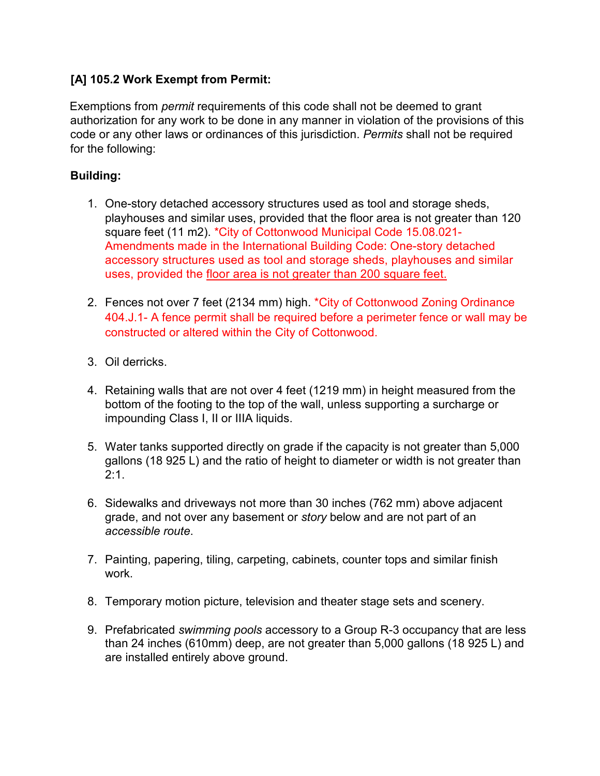# **[A] 105.2 Work Exempt from Permit:**

Exemptions from *permit* requirements of this code shall not be deemed to grant authorization for any work to be done in any manner in violation of the provisions of this code or any other laws or ordinances of this jurisdiction. *Permits* shall not be required for the following:

# **Building:**

- 1. One-story detached accessory structures used as tool and storage sheds, playhouses and similar uses, provided that the floor area is not greater than 120 square feet (11 m2). \*City of Cottonwood Municipal Code 15.08.021- Amendments made in the International Building Code: One-story detached accessory structures used as tool and storage sheds, playhouses and similar uses, provided the floor area is not greater than 200 square feet.
- 2. Fences not over 7 feet (2134 mm) high. \*City of Cottonwood Zoning Ordinance 404.J.1- A fence permit shall be required before a perimeter fence or wall may be constructed or altered within the City of Cottonwood.
- 3. Oil derricks.
- 4. Retaining walls that are not over 4 feet (1219 mm) in height measured from the bottom of the footing to the top of the wall, unless supporting a surcharge or impounding Class I, II or IIIA liquids.
- 5. Water tanks supported directly on grade if the capacity is not greater than 5,000 gallons (18 925 L) and the ratio of height to diameter or width is not greater than 2:1.
- 6. Sidewalks and driveways not more than 30 inches (762 mm) above adjacent grade, and not over any basement or *story* below and are not part of an *accessible route*.
- 7. Painting, papering, tiling, carpeting, cabinets, counter tops and similar finish work.
- 8. Temporary motion picture, television and theater stage sets and scenery.
- 9. Prefabricated *swimming pools* accessory to a Group R-3 occupancy that are less than 24 inches (610mm) deep, are not greater than 5,000 gallons (18 925 L) and are installed entirely above ground.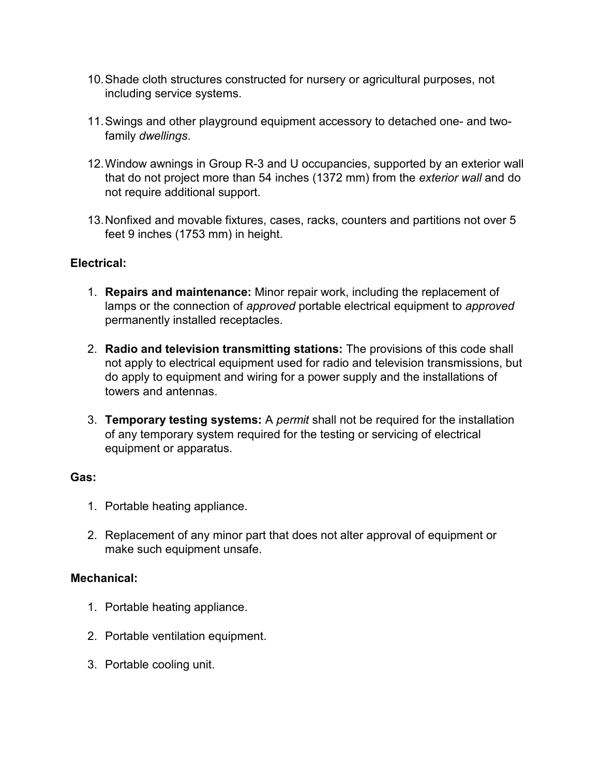- 10.Shade cloth structures constructed for nursery or agricultural purposes, not including service systems.
- 11.Swings and other playground equipment accessory to detached one- and twofamily *dwellings*.
- 12.Window awnings in Group R-3 and U occupancies, supported by an exterior wall that do not project more than 54 inches (1372 mm) from the *exterior wall* and do not require additional support.
- 13.Nonfixed and movable fixtures, cases, racks, counters and partitions not over 5 feet 9 inches (1753 mm) in height.

#### **Electrical:**

- 1. **Repairs and maintenance:** Minor repair work, including the replacement of lamps or the connection of *approved* portable electrical equipment to *approved*  permanently installed receptacles.
- 2. **Radio and television transmitting stations:** The provisions of this code shall not apply to electrical equipment used for radio and television transmissions, but do apply to equipment and wiring for a power supply and the installations of towers and antennas.
- 3. **Temporary testing systems:** A *permit* shall not be required for the installation of any temporary system required for the testing or servicing of electrical equipment or apparatus.

#### **Gas:**

- 1. Portable heating appliance.
- 2. Replacement of any minor part that does not alter approval of equipment or make such equipment unsafe.

#### **Mechanical:**

- 1. Portable heating appliance.
- 2. Portable ventilation equipment.
- 3. Portable cooling unit.